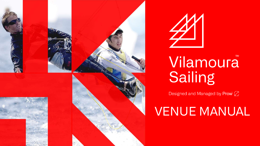



### **TM** Vilamoura **Sailing**

Designed and Managed by Prow Ø

# VENUE MANUAL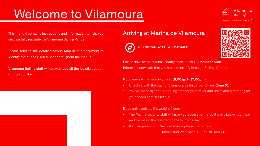### Welcome to Vilamoura



Designed and Managed by Prow  $\oslash$ 

This manual contains instructions and information to help you successfully navigate the Vilamoura Sailing Venue.

Please refer to the detailed Venue Map in this document to identify the "Zones" referenced throughout the manual.

Vilamoura Sailing staff will provide you all the logistic support during your stay.





GPS N37o076289 | W08o124435.



Please drive to the Marina security check point (24 hours service). Inform security staff that you are coming to Vilamoura Sailing Centre.

If you arrive within working hours (9:00am to 17:00pm):

- Check-in with the Staff of Vilamoura Sailing in our Office (Zone 6).
- You will be assigned : a parking area for your trailer and boats and a mooring for your coach boat in Pier "R".

If you arrive outside the working hours:

- The Marina security staff will give you access to the boat park. Leave your gear and we will do the registration the following day.
- If you require any further assistance, please contact us:

Mobile and WhatsApp | + 351 910 099 217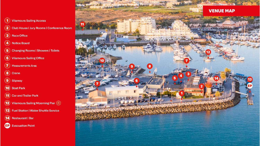

#### **Vilamoura Sailing Access**

Club House | Jury Rooms | Conference Room

- **Race Office**
- **Notice Board**
- **Changing Rooms | Showers | Toilets**
- **Vilamoura Sailing Office**
- Measurements Area
- Crane
- Slipway
- **Boat Park**
- $\bf (11)$ **Car and Trailer Park**
- Vilamoura Sailing Moorning Pier (R)  $(12)$
- $(13)$ **Fuel Station | Water Shuttle Service**
- $(14)$ **Restaurant | Bar**
- **Evacuation Point EP**

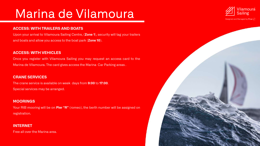### Marina de Vilamoura

#### **ACCESS: WITH TRAILERS AND BOATS**

Upon your arrival to Vilamoura Sailing Centre, (**Zone 1**), security will tag your trailers and boats and allow you access to the boat park (**Zone 10**).

#### **ACCESS: WITH VEHICLES**

Once you register with Vilamoura Sailing you may request an access card to the Marina de Vilamoura. The card gives access the Marina Car Parking areas .

#### **CRANE SERVICES**

The crane service is available on week days from **9:00** to **17:00**. Special services may be arranged.

#### **MOORINGS**

Your RIB mooring will be on **Pier "R"** (romeo), the berth number will be assigned on registration.

#### **INTERNET**

Free all over the Marina area.

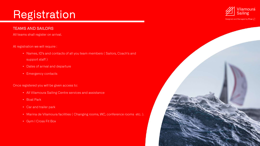### Registration

#### TEAMS AND SAILORS

All teams shall register on arrival.

#### At registration we will require :

- Names, ID's and contacts of all you team members ( Sailors, Coach's and support staff )
- Dates of arrival and departure
- Emergency contacts

#### Once registered you will be given access to:

- All Vilamoura Sailing Centre services and assistance
- Boat Park
- Car and trailer park
- Marina de Vilamoura facilities ( Changing rooms, WC, conference rooms etc. ).
- Gym | Cross Fit Box

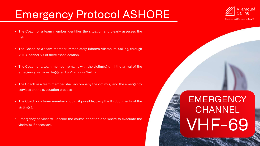### Emergency Protocol ASHORE

- The Coach or a team member identifies the situation and clearly assesses the risk.
- The Coach or a team member immediately informs Vilamoura Sailing, through VHF Channel 69, of there exact location.
- The Coach or a team member remains with the victim(s) until the arrival of the emergency services, triggered by Vilamoura Sailing.
- The Coach or a team member shall accompany the victim(s) and the emergency services on the evacuation process .
- The Coach or a team member should, if possible, carry the ID documents of the victim(s).
- Emergency services will decide the course of action and where to evacuate the victim(s) if necessary.

### **EMERGENCY CHANNEL** VHF-69

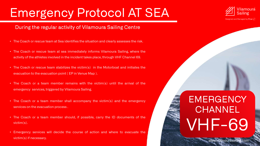### Emergency Protocol AT SEA

### During the regular activity of Vilamoura Sailing Centre

- The Coach or rescue team at Sea identifies the situation and clearly assesses the risk.
- The Coach or rescue team at sea immediately informs Vilamoura Sailing, where the activity of the athletes involved in the incident takes place, through VHF Channel 69.
- The Coach or rescue team stabilizes the victim(s) in the Motorboat and initiates the evacuation to the evacuation point ( EP in Venue Map ).
- The Coach or a team member remains with the victim(s) until the arrival of the emergency services, triggered by Vilamoura Sailing.
- The Coach or a team member shall accompany the victim(s) and the emergency services on the evacuation process .
- The Coach or a team member should, if possible, carry the ID documents of the victim(s).
- Emergency services will decide the course of action and where to evacuate the victim(s) if necessary. www.vilamourasailing.com



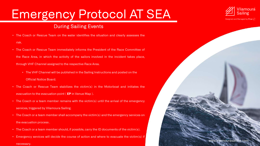## Emergency Protocol AT SEA

### During Sailing Events

- The Coach or Rescue Team on the water identifies the situation and clearly assesses the risk.
- The Coach or Rescue Team immediately informs the President of the Race Committee of the Race Area, in which the activity of the sailors involved in the incident takes place, through VHF Channel assigned to the respective Race Area.
	- The VHF Channel will be published in the Sailing Instructions and posted on the Official Notice Board.
- The Coach or Rescue Team stabilizes the victim(s) in the Motorboat and initiates the evacuation to the evacuation point ( **EP** in Venue Map ).
- The Coach or a team member remains with the victim(s) until the arrival of the emergency services, triggered by Vilamoura Sailing.
- The Coach or a team member shall accompany the victim(s) and the emergency services on the evacuation process .
- The Coach or a team member should, if possible, carry the ID documents of the victim(s).
- Emergency services will decide the course of action and where to evacuate the victim(s) if necessary.